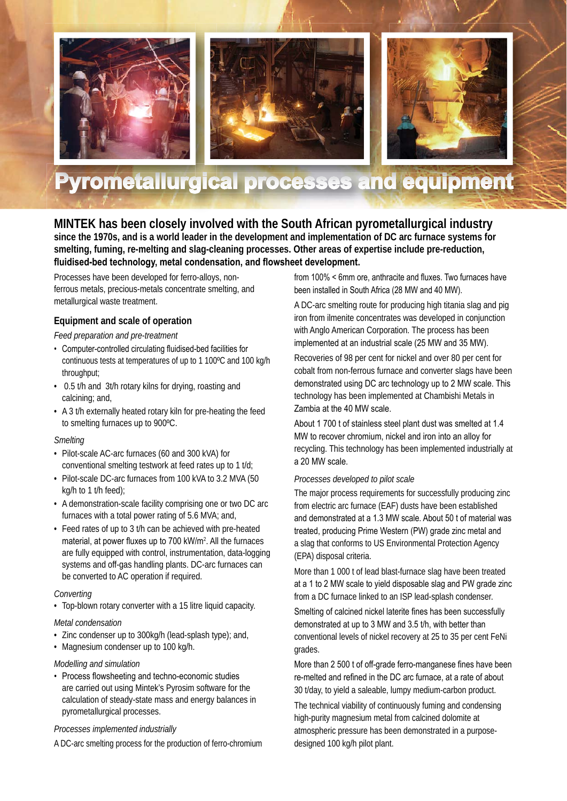

# **Pyrometallurgical processes and equipment**

**MINTEK has been closely involved with the South African pyrometallurgical industry since the 1970s, and is a world leader in the development and implementation of DC arc furnace systems for smelting, fuming, re-melting and slag-cleaning processes. Other areas of expertise include pre-reduction,**  fluidised-bed technology, metal condensation, and flowsheet development.

Processes have been developed for ferro-alloys, nonferrous metals, precious-metals concentrate smelting, and metallurgical waste treatment.

## **Equipment and scale of operation**

#### *Feed preparation and pre-treatment*

- Computer-controlled circulating fluidised-bed facilities for continuous tests at temperatures of up to 1 100ºC and 100 kg/h throughput;
- 0.5 t/h and 3t/h rotary kilns for drying, roasting and calcining; and,
- A 3 t/h externally heated rotary kiln for pre-heating the feed to smelting furnaces up to 900ºC.

#### *Smelting*

- Pilot-scale AC-arc furnaces (60 and 300 kVA) for conventional smelting testwork at feed rates up to 1 t/d;
- Pilot-scale DC-arc furnaces from 100 kVA to 3.2 MVA (50 kg/h to 1 t/h feed);
- A demonstration-scale facility comprising one or two DC arc furnaces with a total power rating of 5.6 MVA; and,
- Feed rates of up to 3 t/h can be achieved with pre-heated material, at power fluxes up to 700 kW/m<sup>2</sup>. All the furnaces are fully equipped with control, instrumentation, data-logging systems and off-gas handling plants. DC-arc furnaces can be converted to AC operation if required.

## *Converting*

• Top-blown rotary converter with a 15 litre liquid capacity.

## *Metal condensation*

- Zinc condenser up to 300kg/h (lead-splash type); and,
- Magnesium condenser up to 100 kg/h.

## *Modelling and simulation*

• Process flowsheeting and techno-economic studies are carried out using Mintek's Pyrosim software for the calculation of steady-state mass and energy balances in pyrometallurgical processes.

#### *Processes implemented industrially*

A DC-arc smelting process for the production of ferro-chromium

from  $100\%$  < 6mm ore, anthracite and fluxes. Two furnaces have been installed in South Africa (28 MW and 40 MW).

A DC-arc smelting route for producing high titania slag and pig iron from ilmenite concentrates was developed in conjunction with Anglo American Corporation. The process has been implemented at an industrial scale (25 MW and 35 MW).

Recoveries of 98 per cent for nickel and over 80 per cent for cobalt from non-ferrous furnace and converter slags have been demonstrated using DC arc technology up to 2 MW scale. This technology has been implemented at Chambishi Metals in Zambia at the 40 MW scale.

About 1 700 t of stainless steel plant dust was smelted at 1.4 MW to recover chromium, nickel and iron into an alloy for recycling. This technology has been implemented industrially at a 20 MW scale.

#### *Processes developed to pilot scale*

The major process requirements for successfully producing zinc from electric arc furnace (EAF) dusts have been established and demonstrated at a 1.3 MW scale. About 50 t of material was treated, producing Prime Western (PW) grade zinc metal and a slag that conforms to US Environmental Protection Agency (EPA) disposal criteria.

More than 1 000 t of lead blast-furnace slag have been treated at a 1 to 2 MW scale to yield disposable slag and PW grade zinc from a DC furnace linked to an ISP lead-splash condenser.

Smelting of calcined nickel laterite fines has been successfully demonstrated at up to 3 MW and 3.5 t/h, with better than conventional levels of nickel recovery at 25 to 35 per cent FeNi grades.

More than 2 500 t of off-grade ferro-manganese fines have been re-melted and refined in the DC arc furnace, at a rate of about 30 t/day, to yield a saleable, lumpy medium-carbon product.

The technical viability of continuously fuming and condensing high-purity magnesium metal from calcined dolomite at atmospheric pressure has been demonstrated in a purposedesigned 100 kg/h pilot plant.